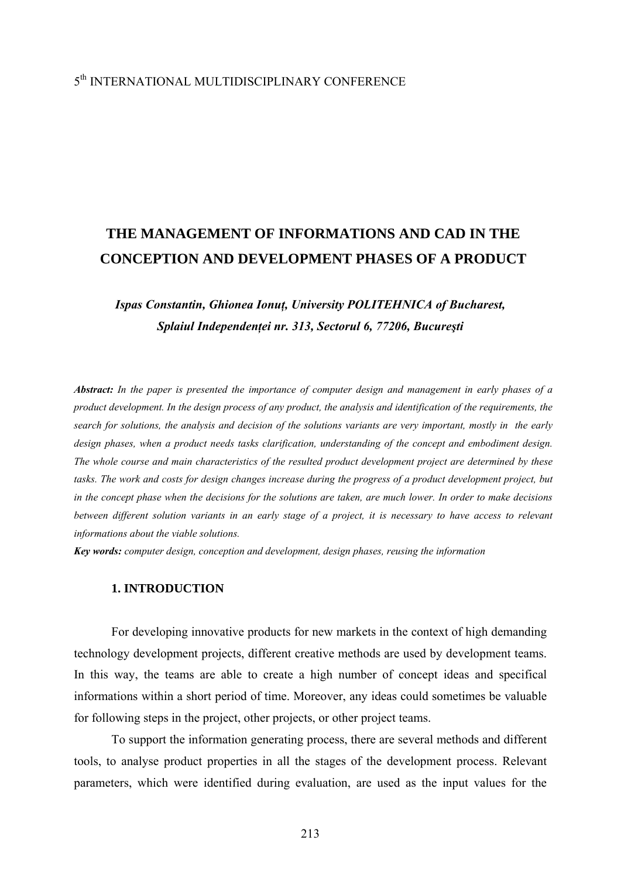### 5th INTERNATIONAL MULTIDISCIPLINARY CONFERENCE

# **THE MANAGEMENT OF INFORMATIONS AND CAD IN THE CONCEPTION AND DEVELOPMENT PHASES OF A PRODUCT**

## *Ispas Constantin, Ghionea Ionuţ, University POLITEHNICA of Bucharest, Splaiul Independenţei nr. 313, Sectorul 6, 77206, Bucureşti*

*Abstract: In the paper is presented the importance of computer design and management in early phases of a product development. In the design process of any product, the analysis and identification of the requirements, the search for solutions, the analysis and decision of the solutions variants are very important, mostly in the early design phases, when a product needs tasks clarification, understanding of the concept and embodiment design. The whole course and main characteristics of the resulted product development project are determined by these*  tasks. The work and costs for design changes increase during the progress of a product development project, but *in the concept phase when the decisions for the solutions are taken, are much lower. In order to make decisions between different solution variants in an early stage of a project, it is necessary to have access to relevant informations about the viable solutions.* 

*Key words: computer design, conception and development, design phases, reusing the information* 

#### **1. INTRODUCTION**

For developing innovative products for new markets in the context of high demanding technology development projects, different creative methods are used by development teams. In this way, the teams are able to create a high number of concept ideas and specifical informations within a short period of time. Moreover, any ideas could sometimes be valuable for following steps in the project, other projects, or other project teams.

To support the information generating process, there are several methods and different tools, to analyse product properties in all the stages of the development process. Relevant parameters, which were identified during evaluation, are used as the input values for the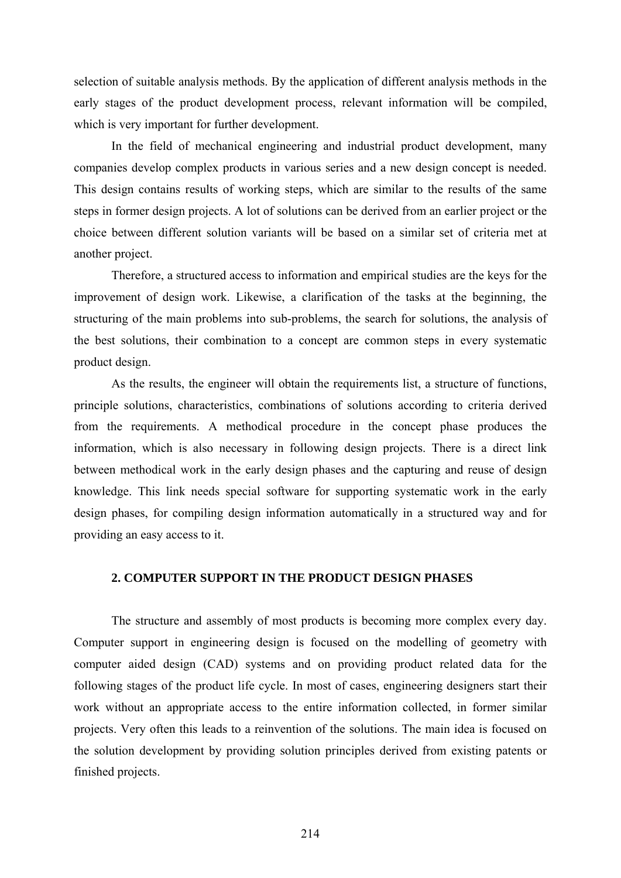selection of suitable analysis methods. By the application of different analysis methods in the early stages of the product development process, relevant information will be compiled, which is very important for further development.

In the field of mechanical engineering and industrial product development, many companies develop complex products in various series and a new design concept is needed. This design contains results of working steps, which are similar to the results of the same steps in former design projects. A lot of solutions can be derived from an earlier project or the choice between different solution variants will be based on a similar set of criteria met at another project.

Therefore, a structured access to information and empirical studies are the keys for the improvement of design work. Likewise, a clarification of the tasks at the beginning, the structuring of the main problems into sub-problems, the search for solutions, the analysis of the best solutions, their combination to a concept are common steps in every systematic product design.

As the results, the engineer will obtain the requirements list, a structure of functions, principle solutions, characteristics, combinations of solutions according to criteria derived from the requirements. A methodical procedure in the concept phase produces the information, which is also necessary in following design projects. There is a direct link between methodical work in the early design phases and the capturing and reuse of design knowledge. This link needs special software for supporting systematic work in the early design phases, for compiling design information automatically in a structured way and for providing an easy access to it.

#### **2. COMPUTER SUPPORT IN THE PRODUCT DESIGN PHASES**

The structure and assembly of most products is becoming more complex every day. Computer support in engineering design is focused on the modelling of geometry with computer aided design (CAD) systems and on providing product related data for the following stages of the product life cycle. In most of cases, engineering designers start their work without an appropriate access to the entire information collected, in former similar projects. Very often this leads to a reinvention of the solutions. The main idea is focused on the solution development by providing solution principles derived from existing patents or finished projects.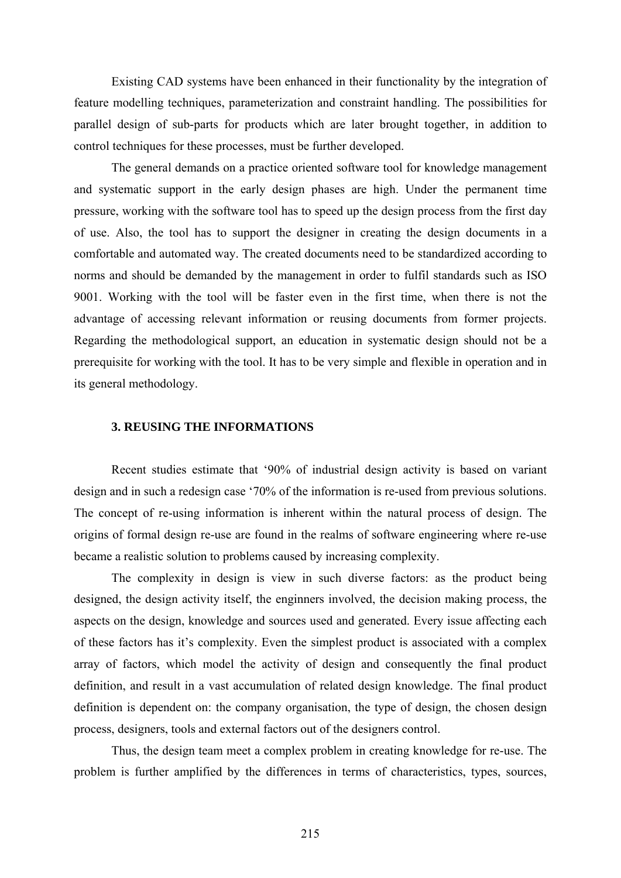Existing CAD systems have been enhanced in their functionality by the integration of feature modelling techniques, parameterization and constraint handling. The possibilities for parallel design of sub-parts for products which are later brought together, in addition to control techniques for these processes, must be further developed.

The general demands on a practice oriented software tool for knowledge management and systematic support in the early design phases are high. Under the permanent time pressure, working with the software tool has to speed up the design process from the first day of use. Also, the tool has to support the designer in creating the design documents in a comfortable and automated way. The created documents need to be standardized according to norms and should be demanded by the management in order to fulfil standards such as ISO 9001. Working with the tool will be faster even in the first time, when there is not the advantage of accessing relevant information or reusing documents from former projects. Regarding the methodological support, an education in systematic design should not be a prerequisite for working with the tool. It has to be very simple and flexible in operation and in its general methodology.

#### **3. REUSING THE INFORMATIONS**

Recent studies estimate that '90% of industrial design activity is based on variant design and in such a redesign case '70% of the information is re-used from previous solutions. The concept of re-using information is inherent within the natural process of design. The origins of formal design re-use are found in the realms of software engineering where re-use became a realistic solution to problems caused by increasing complexity.

The complexity in design is view in such diverse factors: as the product being designed, the design activity itself, the enginners involved, the decision making process, the aspects on the design, knowledge and sources used and generated. Every issue affecting each of these factors has it's complexity. Even the simplest product is associated with a complex array of factors, which model the activity of design and consequently the final product definition, and result in a vast accumulation of related design knowledge. The final product definition is dependent on: the company organisation, the type of design, the chosen design process, designers, tools and external factors out of the designers control.

Thus, the design team meet a complex problem in creating knowledge for re-use. The problem is further amplified by the differences in terms of characteristics, types, sources,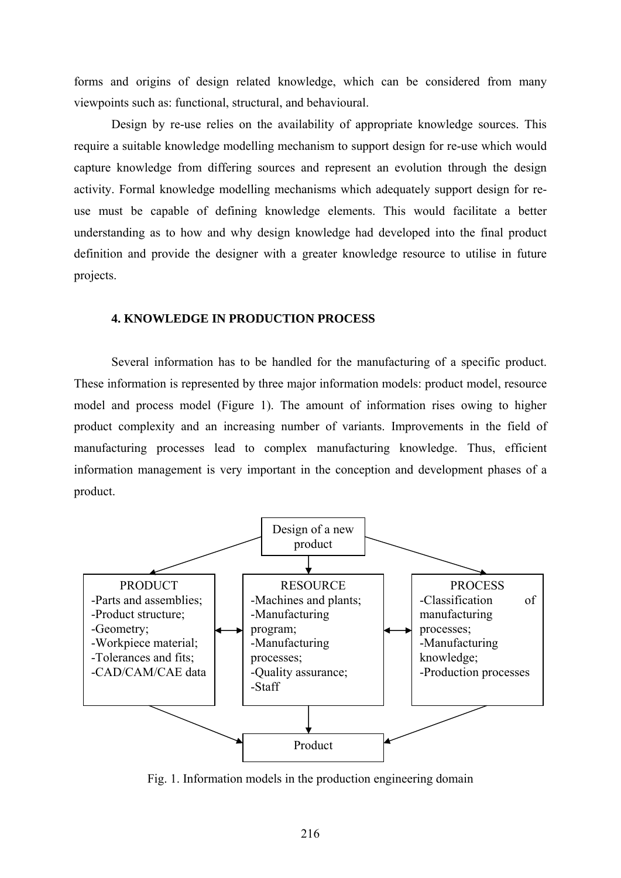forms and origins of design related knowledge, which can be considered from many viewpoints such as: functional, structural, and behavioural.

Design by re-use relies on the availability of appropriate knowledge sources. This require a suitable knowledge modelling mechanism to support design for re-use which would capture knowledge from differing sources and represent an evolution through the design activity. Formal knowledge modelling mechanisms which adequately support design for reuse must be capable of defining knowledge elements. This would facilitate a better understanding as to how and why design knowledge had developed into the final product definition and provide the designer with a greater knowledge resource to utilise in future projects.

#### **4. KNOWLEDGE IN PRODUCTION PROCESS**

 Several information has to be handled for the manufacturing of a specific product. These information is represented by three major information models: product model, resource model and process model (Figure 1). The amount of information rises owing to higher product complexity and an increasing number of variants. Improvements in the field of manufacturing processes lead to complex manufacturing knowledge. Thus, efficient information management is very important in the conception and development phases of a product.



Fig. 1. Information models in the production engineering domain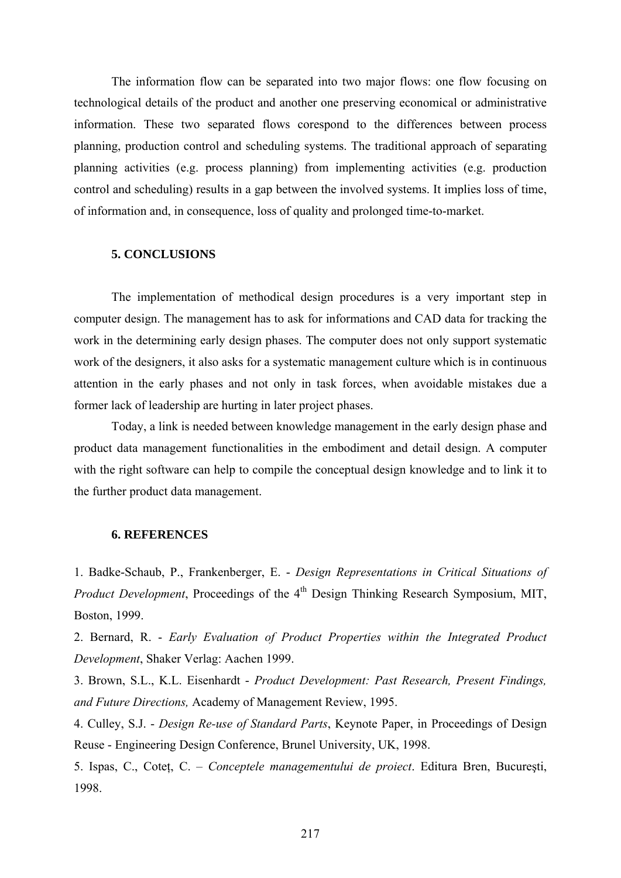The information flow can be separated into two major flows: one flow focusing on technological details of the product and another one preserving economical or administrative information. These two separated flows corespond to the differences between process planning, production control and scheduling systems. The traditional approach of separating planning activities (e.g. process planning) from implementing activities (e.g. production control and scheduling) results in a gap between the involved systems. It implies loss of time, of information and, in consequence, loss of quality and prolonged time-to-market.

#### **5. CONCLUSIONS**

The implementation of methodical design procedures is a very important step in computer design. The management has to ask for informations and CAD data for tracking the work in the determining early design phases. The computer does not only support systematic work of the designers, it also asks for a systematic management culture which is in continuous attention in the early phases and not only in task forces, when avoidable mistakes due a former lack of leadership are hurting in later project phases.

Today, a link is needed between knowledge management in the early design phase and product data management functionalities in the embodiment and detail design. A computer with the right software can help to compile the conceptual design knowledge and to link it to the further product data management.

#### **6. REFERENCES**

1. Badke-Schaub, P., Frankenberger, E. - *Design Representations in Critical Situations of Product Development*, Proceedings of the 4<sup>th</sup> Design Thinking Research Symposium, MIT, Boston, 1999.

2. Bernard, R. - *Early Evaluation of Product Properties within the Integrated Product Development*, Shaker Verlag: Aachen 1999.

3. Brown, S.L., K.L. Eisenhardt - *Product Development: Past Research, Present Findings, and Future Directions,* Academy of Management Review, 1995.

4. Culley, S.J. - *Design Re-use of Standard Parts*, Keynote Paper, in Proceedings of Design Reuse - Engineering Design Conference, Brunel University, UK, 1998.

5. Ispas, C., Coteţ, C. – *Conceptele managementului de proiect*. Editura Bren, Bucureşti, 1998.